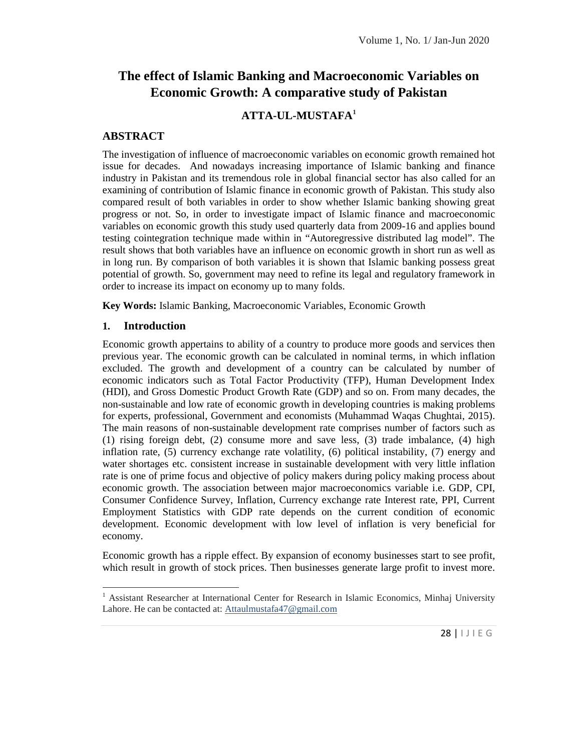# **The effect of Islamic Banking and Macroeconomic Variables on Economic Growth: A comparative study of Pakistan**

# **ATTA-UL-MUSTAFA<sup>1</sup>**

### **ABSTRACT**

The investigation of influence of macroeconomic variables on economic growth remained hot issue for decades. And nowadays increasing importance of Islamic banking and finance industry in Pakistan and its tremendous role in global financial sector has also called for an examining of contribution of Islamic finance in economic growth of Pakistan. This study also compared result of both variables in order to show whether Islamic banking showing great progress or not. So, in order to investigate impact of Islamic finance and macroeconomic variables on economic growth this study used quarterly data from 2009-16 and applies bound testing cointegration technique made within in "Autoregressive distributed lag model". The result shows that both variables have an influence on economic growth in short run as well as in long run. By comparison of both variables it is shown that Islamic banking possess great potential of growth. So, government may need to refine its legal and regulatory framework in order to increase its impact on economy up to many folds.

**Key Words:** Islamic Banking, Macroeconomic Variables, Economic Growth

### **1. Introduction**

Economic growth appertains to ability of a country to produce more goods and services then previous year. The economic growth can be calculated in nominal terms, in which inflation excluded. The growth and development of a country can be calculated by number of economic indicators such as Total Factor Productivity (TFP), Human Development Index (HDI), and Gross Domestic Product Growth Rate (GDP) and so on. From many decades, the non-sustainable and low rate of economic growth in developing countries is making problems for experts, professional, Government and economists (Muhammad Waqas Chughtai, 2015). The main reasons of non-sustainable development rate comprises number of factors such as (1) rising foreign debt, (2) consume more and save less, (3) trade imbalance, (4) high inflation rate, (5) currency exchange rate volatility, (6) political instability, (7) energy and water shortages etc. consistent increase in sustainable development with very little inflation rate is one of prime focus and objective of policy makers during policy making process about economic growth. The association between major macroeconomics variable i.e. GDP, CPI, Consumer Confidence Survey, Inflation, Currency exchange rate Interest rate, PPI, Current Employment Statistics with GDP rate depends on the current condition of economic development. Economic development with low level of inflation is very beneficial for economy.

Economic growth has a ripple effect. By expansion of economy businesses start to see profit, which result in growth of stock prices. Then businesses generate large profit to invest more.

m vest more:<br>haj University<br>28 | 1 J | E G <sup>1</sup> Assistant Researcher at International Center for Research in Islamic Economics, Minhaj University Lahore. He can be contacted at: Attaulmustafa47@gmail.com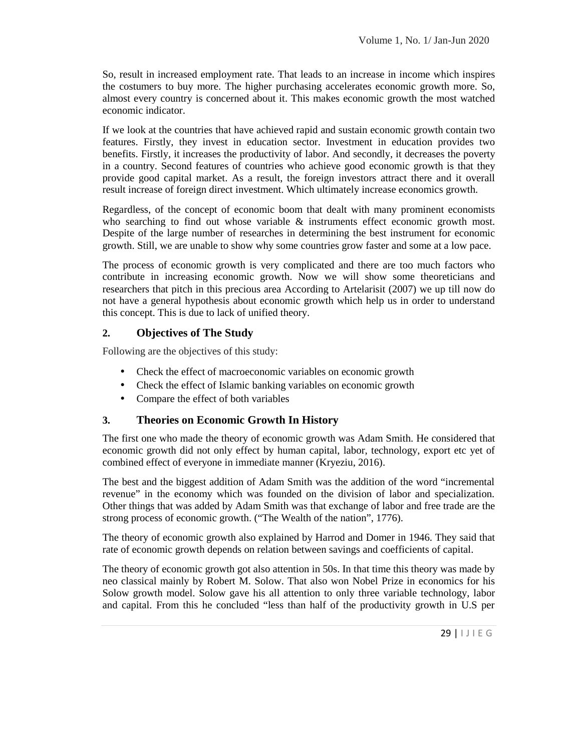So, result in increased employment rate. That leads to an increase in income which inspires the costumers to buy more. The higher purchasing accelerates economic growth more. So, almost every country is concerned about it. This makes economic growth the most watched economic indicator.

If we look at the countries that have achieved rapid and sustain economic growth contain two features. Firstly, they invest in education sector. Investment in education provides two benefits. Firstly, it increases the productivity of labor. And secondly, it decreases the poverty in a country. Second features of countries who achieve good economic growth is that they provide good capital market. As a result, the foreign investors attract there and it overall result increase of foreign direct investment. Which ultimately increase economics growth.

Regardless, of the concept of economic boom that dealt with many prominent economists who searching to find out whose variable  $\&$  instruments effect economic growth most. Despite of the large number of researches in determining the best instrument for economic growth. Still, we are unable to show why some countries grow faster and some at a low pace.

The process of economic growth is very complicated and there are too much factors who contribute in increasing economic growth. Now we will show some theoreticians and researchers that pitch in this precious area According to Artelarisit (2007) we up till now do not have a general hypothesis about economic growth which help us in order to understand this concept. This is due to lack of unified theory.

# **2. Objectives of The Study**

Following are the objectives of this study:

- Check the effect of macroeconomic variables on economic growth
- Check the effect of Islamic banking variables on economic growth
- Compare the effect of both variables

# **3. Theories on Economic Growth In History**

The first one who made the theory of economic growth was Adam Smith. He considered that economic growth did not only effect by human capital, labor, technology, export etc yet of combined effect of everyone in immediate manner (Kryeziu, 2016).

The best and the biggest addition of Adam Smith was the addition of the word "incremental revenue" in the economy which was founded on the division of labor and specialization. Other things that was added by Adam Smith was that exchange of labor and free trade are the strong process of economic growth. ("The Wealth of the nation", 1776).

The theory of economic growth also explained by Harrod and Domer in 1946. They said that rate of economic growth depends on relation between savings and coefficients of capital.

was made by<br>pmics for his<br>nology, labor<br>h in U.S per<br>29 |  $1 \cup 1 \in G$ The theory of economic growth got also attention in 50s. In that time this theory was made by neo classical mainly by Robert M. Solow. That also won Nobel Prize in economics for his Solow growth model. Solow gave his all attention to only three variable technology, labor and capital. From this he concluded "less than half of the productivity growth in U.S per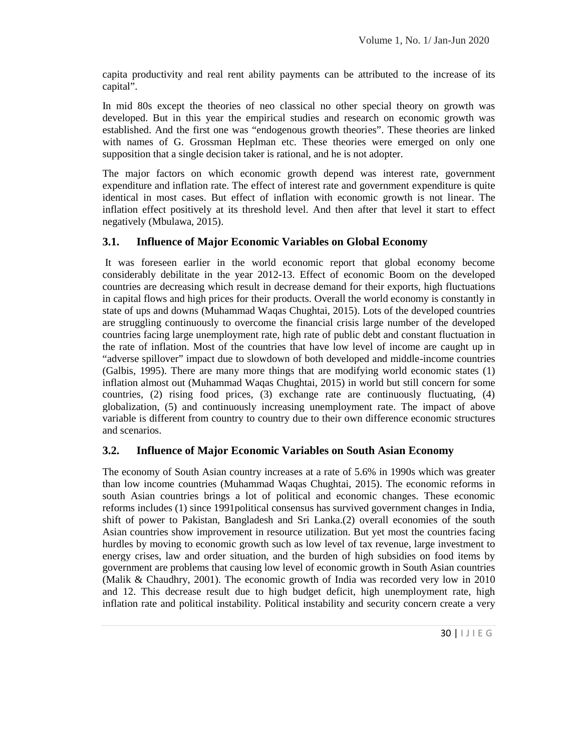capita productivity and real rent ability payments can be attributed to the increase of its capital".

In mid 80s except the theories of neo classical no other special theory on growth was developed. But in this year the empirical studies and research on economic growth was established. And the first one was "endogenous growth theories". These theories are linked with names of G. Grossman Heplman etc. These theories were emerged on only one supposition that a single decision taker is rational, and he is not adopter.

The major factors on which economic growth depend was interest rate, government expenditure and inflation rate. The effect of interest rate and government expenditure is quite identical in most cases. But effect of inflation with economic growth is not linear. The inflation effect positively at its threshold level. And then after that level it start to effect negatively (Mbulawa, 2015).

### **3.1. Influence of Major Economic Variables on Global Economy**

It was foreseen earlier in the world economic report that global economy become considerably debilitate in the year 2012-13. Effect of economic Boom on the developed countries are decreasing which result in decrease demand for their exports, high fluctuations in capital flows and high prices for their products. Overall the world economy is constantly in state of ups and downs (Muhammad Waqas Chughtai, 2015). Lots of the developed countries are struggling continuously to overcome the financial crisis large number of the developed countries facing large unemployment rate, high rate of public debt and constant fluctuation in the rate of inflation. Most of the countries that have low level of income are caught up in "adverse spillover" impact due to slowdown of both developed and middle-income countries (Galbis, 1995). There are many more things that are modifying world economic states (1) inflation almost out (Muhammad Waqas Chughtai, 2015) in world but still concern for some countries, (2) rising food prices, (3) exchange rate are continuously fluctuating, (4) globalization, (5) and continuously increasing unemployment rate. The impact of above variable is different from country to country due to their own difference economic structures and scenarios.

### **3.2. Influence of Major Economic Variables on South Asian Economy**

low in 2010<br>that rate, high<br>create a very<br>30 |  $1 \cup 1 \in G$ The economy of South Asian country increases at a rate of 5.6% in 1990s which was greater than low income countries (Muhammad Waqas Chughtai, 2015). The economic reforms in south Asian countries brings a lot of political and economic changes. These economic reforms includes (1) since 1991political consensus has survived government changes in India, shift of power to Pakistan, Bangladesh and Sri Lanka.(2) overall economies of the south Asian countries show improvement in resource utilization. But yet most the countries facing hurdles by moving to economic growth such as low level of tax revenue, large investment to energy crises, law and order situation, and the burden of high subsidies on food items by government are problems that causing low level of economic growth in South Asian countries (Malik & Chaudhry, 2001). The economic growth of India was recorded very low in 2010 and 12. This decrease result due to high budget deficit, high unemployment rate, high inflation rate and political instability. Political instability and security concern create a very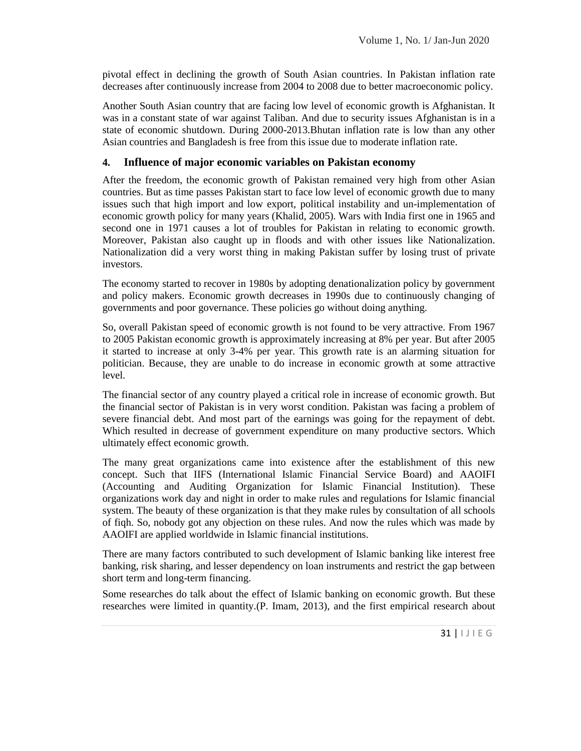pivotal effect in declining the growth of South Asian countries. In Pakistan inflation rate decreases after continuously increase from 2004 to 2008 due to better macroeconomic policy.

Another South Asian country that are facing low level of economic growth is Afghanistan. It was in a constant state of war against Taliban. And due to security issues Afghanistan is in a state of economic shutdown. During 2000-2013.Bhutan inflation rate is low than any other Asian countries and Bangladesh is free from this issue due to moderate inflation rate.

### **4. Influence of major economic variables on Pakistan economy**

After the freedom, the economic growth of Pakistan remained very high from other Asian countries. But as time passes Pakistan start to face low level of economic growth due to many issues such that high import and low export, political instability and un-implementation of economic growth policy for many years (Khalid, 2005). Wars with India first one in 1965 and second one in 1971 causes a lot of troubles for Pakistan in relating to economic growth. Moreover, Pakistan also caught up in floods and with other issues like Nationalization. Nationalization did a very worst thing in making Pakistan suffer by losing trust of private investors.

The economy started to recover in 1980s by adopting denationalization policy by government and policy makers. Economic growth decreases in 1990s due to continuously changing of governments and poor governance. These policies go without doing anything.

So, overall Pakistan speed of economic growth is not found to be very attractive. From 1967 to 2005 Pakistan economic growth is approximately increasing at 8% per year. But after 2005 it started to increase at only 3-4% per year. This growth rate is an alarming situation for politician. Because, they are unable to do increase in economic growth at some attractive level.

The financial sector of any country played a critical role in increase of economic growth. But the financial sector of Pakistan is in very worst condition. Pakistan was facing a problem of severe financial debt. And most part of the earnings was going for the repayment of debt. Which resulted in decrease of government expenditure on many productive sectors. Which ultimately effect economic growth.

The many great organizations came into existence after the establishment of this new concept. Such that IIFS (International Islamic Financial Service Board) and AAOIFI (Accounting and Auditing Organization for Islamic Financial Institution). These organizations work day and night in order to make rules and regulations for Islamic financial system. The beauty of these organization is that they make rules by consultation of all schools of fiqh. So, nobody got any objection on these rules. And now the rules which was made by AAOIFI are applied worldwide in Islamic financial institutions.

There are many factors contributed to such development of Islamic banking like interest free banking, risk sharing, and lesser dependency on loan instruments and restrict the gap between short term and long-term financing.

th. But these<br>search about<br> $31 \mid 1 \mid E \subseteq$ Some researches do talk about the effect of Islamic banking on economic growth. But these researches were limited in quantity.(P. Imam, 2013), and the first empirical research about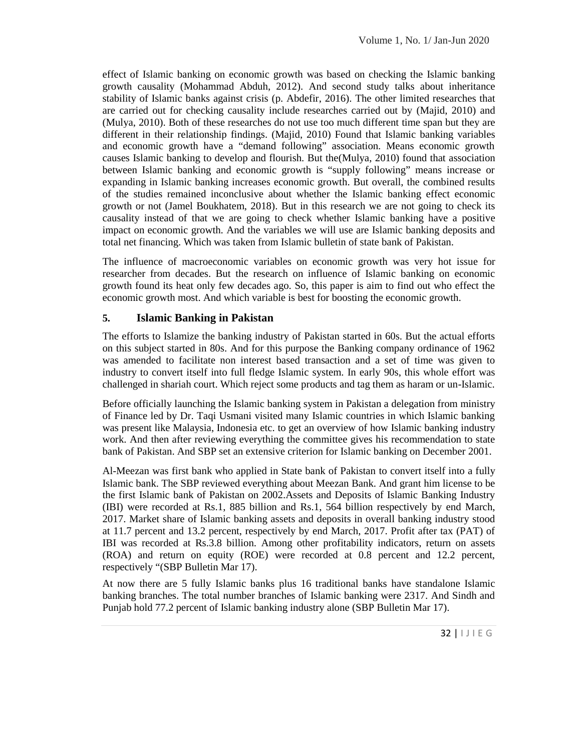effect of Islamic banking on economic growth was based on checking the Islamic banking growth causality (Mohammad Abduh, 2012). And second study talks about inheritance stability of Islamic banks against crisis (p. Abdefir, 2016). The other limited researches that are carried out for checking causality include researches carried out by (Majid, 2010) and (Mulya, 2010). Both of these researches do not use too much different time span but they are different in their relationship findings. (Majid, 2010) Found that Islamic banking variables and economic growth have a "demand following" association. Means economic growth causes Islamic banking to develop and flourish. But the(Mulya, 2010) found that association between Islamic banking and economic growth is "supply following" means increase or expanding in Islamic banking increases economic growth. But overall, the combined results of the studies remained inconclusive about whether the Islamic banking effect economic growth or not (Jamel Boukhatem, 2018). But in this research we are not going to check its causality instead of that we are going to check whether Islamic banking have a positive impact on economic growth. And the variables we will use are Islamic banking deposits and total net financing. Which was taken from Islamic bulletin of state bank of Pakistan.

The influence of macroeconomic variables on economic growth was very hot issue for researcher from decades. But the research on influence of Islamic banking on economic growth found its heat only few decades ago. So, this paper is aim to find out who effect the economic growth most. And which variable is best for boosting the economic growth.

### **5. Islamic Banking in Pakistan**

The efforts to Islamize the banking industry of Pakistan started in 60s. But the actual efforts on this subject started in 80s. And for this purpose the Banking company ordinance of 1962 was amended to facilitate non interest based transaction and a set of time was given to industry to convert itself into full fledge Islamic system. In early 90s, this whole effort was challenged in shariah court. Which reject some products and tag them as haram or un-Islamic.

Before officially launching the Islamic banking system in Pakistan a delegation from ministry of Finance led by Dr. Taqi Usmani visited many Islamic countries in which Islamic banking was present like Malaysia, Indonesia etc. to get an overview of how Islamic banking industry work. And then after reviewing everything the committee gives his recommendation to state bank of Pakistan. And SBP set an extensive criterion for Islamic banking on December 2001.

Al-Meezan was first bank who applied in State bank of Pakistan to convert itself into a fully Islamic bank. The SBP reviewed everything about Meezan Bank. And grant him license to be the first Islamic bank of Pakistan on 2002.Assets and Deposits of Islamic Banking Industry (IBI) were recorded at Rs.1, 885 billion and Rs.1, 564 billion respectively by end March, 2017. Market share of Islamic banking assets and deposits in overall banking industry stood at 11.7 percent and 13.2 percent, respectively by end March, 2017. Profit after tax (PAT) of IBI was recorded at Rs.3.8 billion. Among other profitability indicators, return on assets (ROA) and return on equity (ROE) were recorded at 0.8 percent and 12.2 percent, respectively "(SBP Bulletin Mar 17).

Alone Islamic<br>
and Sindh and<br>  $\overline{z}$ ).<br>  $32 \mid 1 \mid E \subseteq$ At now there are 5 fully Islamic banks plus 16 traditional banks have standalone Islamic banking branches. The total number branches of Islamic banking were 2317. And Sindh and Punjab hold 77.2 percent of Islamic banking industry alone (SBP Bulletin Mar 17).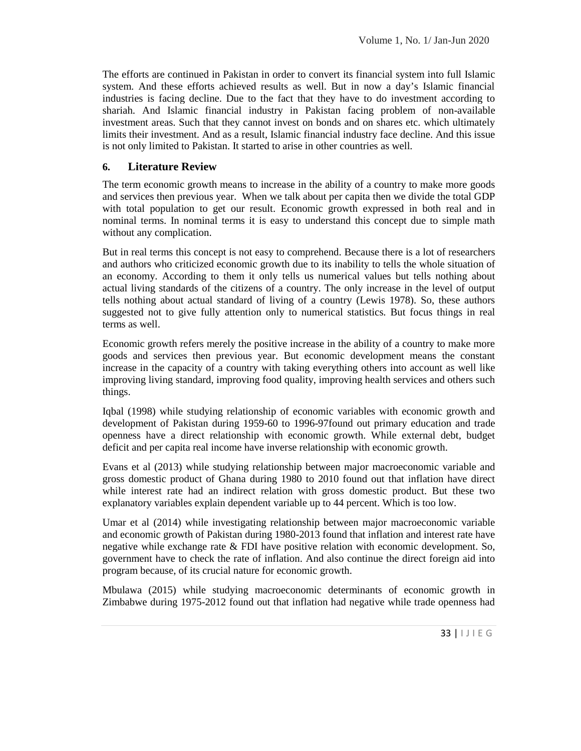The efforts are continued in Pakistan in order to convert its financial system into full Islamic system. And these efforts achieved results as well. But in now a day's Islamic financial industries is facing decline. Due to the fact that they have to do investment according to shariah. And Islamic financial industry in Pakistan facing problem of non-available investment areas. Such that they cannot invest on bonds and on shares etc. which ultimately limits their investment. And as a result, Islamic financial industry face decline. And this issue is not only limited to Pakistan. It started to arise in other countries as well.

### **6. Literature Review**

The term economic growth means to increase in the ability of a country to make more goods and services then previous year. When we talk about per capita then we divide the total GDP with total population to get our result. Economic growth expressed in both real and in nominal terms. In nominal terms it is easy to understand this concept due to simple math without any complication.

But in real terms this concept is not easy to comprehend. Because there is a lot of researchers and authors who criticized economic growth due to its inability to tells the whole situation of an economy. According to them it only tells us numerical values but tells nothing about actual living standards of the citizens of a country. The only increase in the level of output tells nothing about actual standard of living of a country (Lewis 1978). So, these authors suggested not to give fully attention only to numerical statistics. But focus things in real terms as well.

Economic growth refers merely the positive increase in the ability of a country to make more goods and services then previous year. But economic development means the constant increase in the capacity of a country with taking everything others into account as well like improving living standard, improving food quality, improving health services and others such things.

Iqbal (1998) while studying relationship of economic variables with economic growth and development of Pakistan during 1959-60 to 1996-97found out primary education and trade openness have a direct relationship with economic growth. While external debt, budget deficit and per capita real income have inverse relationship with economic growth.

Evans et al (2013) while studying relationship between major macroeconomic variable and gross domestic product of Ghana during 1980 to 2010 found out that inflation have direct while interest rate had an indirect relation with gross domestic product. But these two explanatory variables explain dependent variable up to 44 percent. Which is too low.

Umar et al (2014) while investigating relationship between major macroeconomic variable and economic growth of Pakistan during 1980-2013 found that inflation and interest rate have negative while exchange rate & FDI have positive relation with economic development. So, government have to check the rate of inflation. And also continue the direct foreign aid into program because, of its crucial nature for economic growth.

c growth in<br>ppenness had<br>33 |  $| J | E G$ Mbulawa (2015) while studying macroeconomic determinants of economic growth in Zimbabwe during 1975-2012 found out that inflation had negative while trade openness had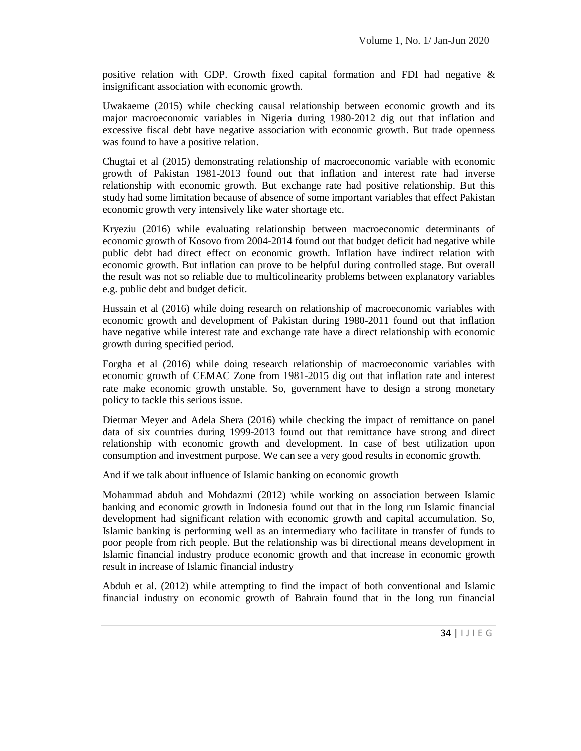positive relation with GDP. Growth fixed capital formation and FDI had negative & insignificant association with economic growth.

Uwakaeme (2015) while checking causal relationship between economic growth and its major macroeconomic variables in Nigeria during 1980-2012 dig out that inflation and excessive fiscal debt have negative association with economic growth. But trade openness was found to have a positive relation.

Chugtai et al (2015) demonstrating relationship of macroeconomic variable with economic growth of Pakistan 1981-2013 found out that inflation and interest rate had inverse relationship with economic growth. But exchange rate had positive relationship. But this study had some limitation because of absence of some important variables that effect Pakistan economic growth very intensively like water shortage etc.

Kryeziu (2016) while evaluating relationship between macroeconomic determinants of economic growth of Kosovo from 2004-2014 found out that budget deficit had negative while public debt had direct effect on economic growth. Inflation have indirect relation with economic growth. But inflation can prove to be helpful during controlled stage. But overall the result was not so reliable due to multicolinearity problems between explanatory variables e.g. public debt and budget deficit.

Hussain et al (2016) while doing research on relationship of macroeconomic variables with economic growth and development of Pakistan during 1980-2011 found out that inflation have negative while interest rate and exchange rate have a direct relationship with economic growth during specified period.

Forgha et al (2016) while doing research relationship of macroeconomic variables with economic growth of CEMAC Zone from 1981-2015 dig out that inflation rate and interest rate make economic growth unstable. So, government have to design a strong monetary policy to tackle this serious issue.

Dietmar Meyer and Adela Shera (2016) while checking the impact of remittance on panel data of six countries during 1999-2013 found out that remittance have strong and direct relationship with economic growth and development. In case of best utilization upon consumption and investment purpose. We can see a very good results in economic growth.

And if we talk about influence of Islamic banking on economic growth

Mohammad abduh and Mohdazmi (2012) while working on association between Islamic banking and economic growth in Indonesia found out that in the long run Islamic financial development had significant relation with economic growth and capital accumulation. So, Islamic banking is performing well as an intermediary who facilitate in transfer of funds to poor people from rich people. But the relationship was bi directional means development in Islamic financial industry produce economic growth and that increase in economic growth result in increase of Islamic financial industry

and Islamic<br>
run financial<br>  $34$  |  $1$  J  $1 \in G$ Abduh et al. (2012) while attempting to find the impact of both conventional and Islamic financial industry on economic growth of Bahrain found that in the long run financial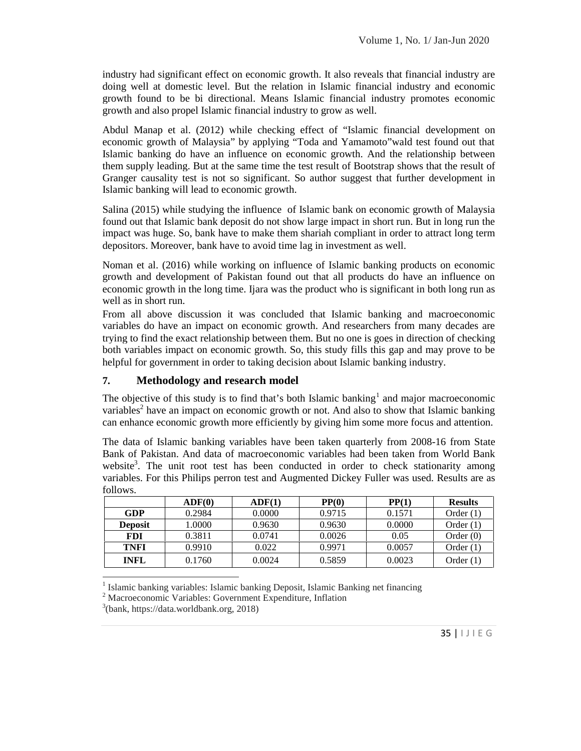industry had significant effect on economic growth. It also reveals that financial industry are doing well at domestic level. But the relation in Islamic financial industry and economic growth found to be bi directional. Means Islamic financial industry promotes economic growth and also propel Islamic financial industry to grow as well.

Abdul Manap et al. (2012) while checking effect of "Islamic financial development on economic growth of Malaysia" by applying "Toda and Yamamoto"wald test found out that Islamic banking do have an influence on economic growth. And the relationship between them supply leading. But at the same time the test result of Bootstrap shows that the result of Granger causality test is not so significant. So author suggest that further development in Islamic banking will lead to economic growth.

Salina (2015) while studying the influence of Islamic bank on economic growth of Malaysia found out that Islamic bank deposit do not show large impact in short run. But in long run the impact was huge. So, bank have to make them shariah compliant in order to attract long term depositors. Moreover, bank have to avoid time lag in investment as well.

Noman et al. (2016) while working on influence of Islamic banking products on economic growth and development of Pakistan found out that all products do have an influence on economic growth in the long time. Ijara was the product who is significant in both long run as well as in short run.

From all above discussion it was concluded that Islamic banking and macroeconomic variables do have an impact on economic growth. And researchers from many decades are trying to find the exact relationship between them. But no one is goes in direction of checking both variables impact on economic growth. So, this study fills this gap and may prove to be helpful for government in order to taking decision about Islamic banking industry.

### **7. Methodology and research model**

The objective of this study is to find that's both Islamic banking<sup>1</sup> and major macroeconomic variables<sup>2</sup> have an impact on economic growth or not. And also to show that Islamic banking can enhance economic growth more efficiently by giving him some more focus and attention.

The data of Islamic banking variables have been taken quarterly from 2008-16 from State Bank of Pakistan. And data of macroeconomic variables had been taken from World Bank website<sup>3</sup>. The unit root test has been conducted in order to check stationarity among variables. For this Philips perron test and Augmented Dickey Fuller was used. Results are as follows.

| 191191191      |               |        |        |        |                |  |
|----------------|---------------|--------|--------|--------|----------------|--|
|                | $\bf{ADF}(0)$ | ADF(1) | PP(0)  | PP(1)  | <b>Results</b> |  |
| GDP            | 0.2984        | 0.0000 | 0.9715 | 0.1571 | Order $(1)$    |  |
| <b>Deposit</b> | 1.0000        | 0.9630 | 0.9630 | 0.0000 | Order $(1)$    |  |
| <b>FDI</b>     | 0.3811        | 0.0741 | 0.0026 | 0.05   | Order $(0)$    |  |
| <b>TNFI</b>    | 0.9910        | 0.022  | 0.9971 | 0.0057 | Order $(1)$    |  |
| <b>INFL</b>    | 0.1760        | 0.0024 | 0.5859 | 0.0023 | Order $(1)$    |  |

<sup>1</sup> Islamic banking variables: Islamic banking Deposit, Islamic Banking net financing

<sup>2</sup> Macroeconomic Variables: Government Expenditure, Inflation

 $3$ (bank, https://data.worldbank.org, 2018)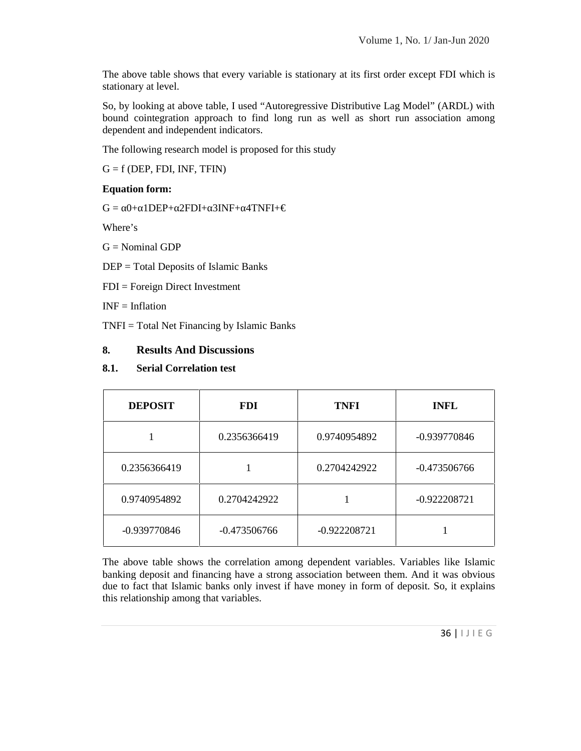The above table shows that every variable is stationary at its first order except FDI which is stationary at level.

So, by looking at above table, I used "Autoregressive Distributive Lag Model" (ARDL) with bound cointegration approach to find long run as well as short run association among dependent and independent indicators.

The following research model is proposed for this study

 $G = f$  (DEP, FDI, INF, TFIN)

### **Equation form:**

 $G = 0+ 1$ DEP+ 2FDI+ 3INF+ 4TNFI+ $\in$ 

Where's

 $G = Nominal GDP$ 

DEP = Total Deposits of Islamic Banks

FDI = Foreign Direct Investment

 $INF = Inflation$ 

TNFI = Total Net Financing by Islamic Banks

### **8. Results And Discussions**

### **8.1. Serial Correlation test**

| <b>DEPOSIT</b> | <b>FDI</b>     | <b>TNFI</b>    | <b>INFL</b>    |
|----------------|----------------|----------------|----------------|
|                | 0.2356366419   | 0.9740954892   | -0.939770846   |
| 0.2356366419   |                | 0.2704242922   | $-0.473506766$ |
| 0.9740954892   | 0.2704242922   |                | $-0.922208721$ |
| $-0.939770846$ | $-0.473506766$ | $-0.922208721$ |                |

was obvious<br>
o, it explains<br>  $36 \mid 1 \mid E \subseteq$ The above table shows the correlation among dependent variables. Variables like Islamic banking deposit and financing have a strong association between them. And it was obvious due to fact that Islamic banks only invest if have money in form of deposit. So, it explains this relationship among that variables.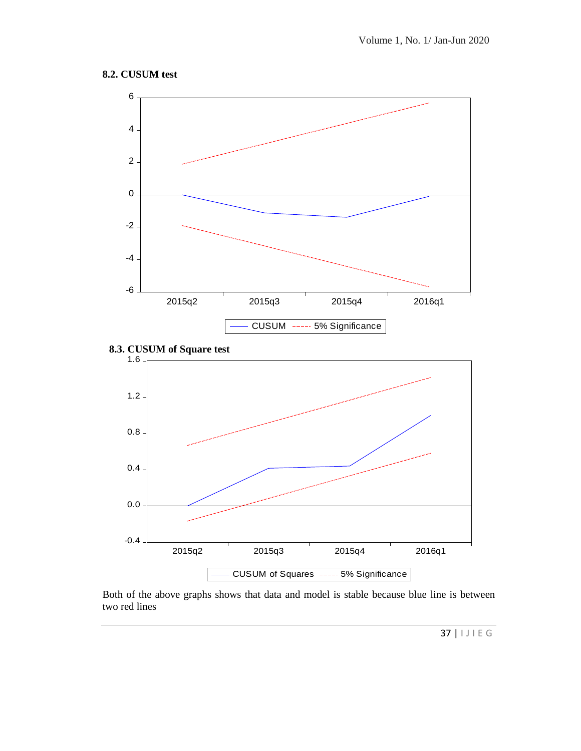### **8.2. CUSUM test**



e is between<br>37 |  $|J| \in G$ Both of the above graphs shows that data and model is stable because blue line is between two red lines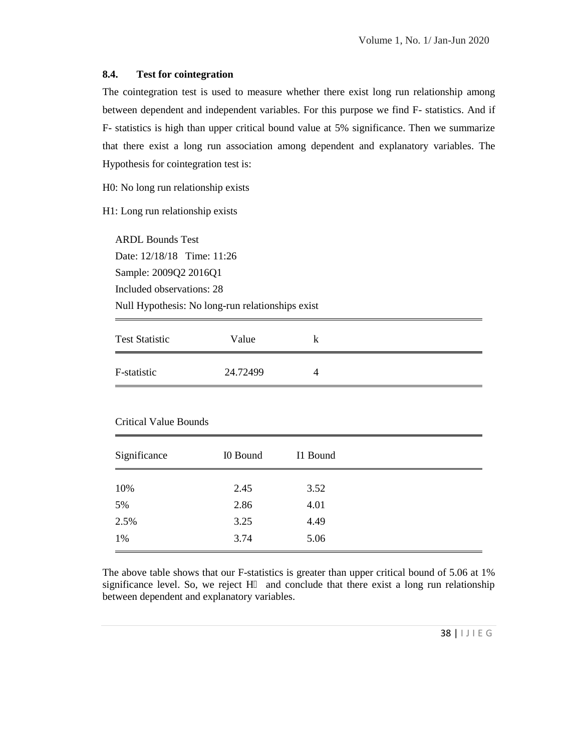#### **8.4. Test for cointegration**

The cointegration test is used to measure whether there exist long run relationship among between dependent and independent variables. For this purpose we find F- statistics. And if F- statistics is high than upper critical bound value at 5% significance. Then we summarize that there exist a long run association among dependent and explanatory variables. The Hypothesis for cointegration test is:

H0: No long run relationship exists

H1: Long run relationship exists

ARDL Bounds Test Date: 12/18/18 Time: 11:26 Sample: 2009Q2 2016Q1 Included observations: 28 Null Hypothesis: No long-run relationships exist

| <b>Test Statistic</b> | Value    | ĸ |
|-----------------------|----------|---|
| F-statistic           | 24.72499 | 4 |

#### Critical Value Bounds

| Significance | I0 Bound | I1 Bound |
|--------------|----------|----------|
| 10%          | 2.45     | 3.52     |
| 5%           | 2.86     | 4.01     |
| 2.5%         | 3.25     | 4.49     |
| 1%           | 3.74     | 5.06     |

of 5.06 at 1%<br>
relationship<br>
38 | 1 J | E G The above table shows that our F-statistics is greater than upper critical bound of 5.06 at 1% significance level. So, we reject  $H$  and conclude that there exist a long run relationship between dependent and explanatory variables.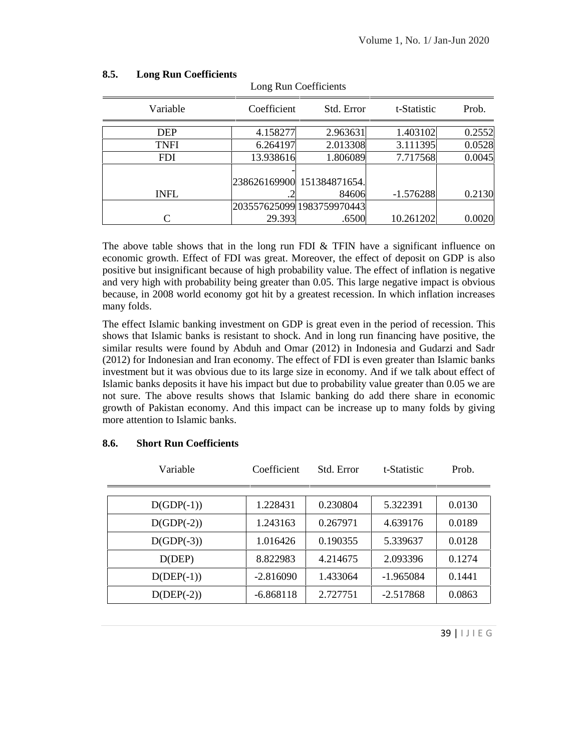| Variable    | Coefficient | Std. Error                 | t-Statistic | Prob.  |
|-------------|-------------|----------------------------|-------------|--------|
| <b>DEP</b>  | 4.158277    | 2.963631                   | 1.403102    | 0.2552 |
| <b>TNFI</b> | 6.264197    | 2.013308                   | 3.111395    | 0.0528 |
| <b>FDI</b>  | 13.938616   | 1.806089                   | 7.717568    | 0.0045 |
|             |             |                            |             |        |
|             |             | 238626169900 151384871654. |             |        |
| <b>INFL</b> |             | 84606                      | $-1.576288$ | 0.2130 |
|             |             | 203557625099 1983759970443 |             |        |
| $\subset$   | 29.393      | .6500                      | 10.261202   | 0.0020 |

Long Run Coefficients

#### **8.5. Long Run Coefficients**

The above table shows that in the long run FDI  $\&$  TFIN have a significant influence on economic growth. Effect of FDI was great. Moreover, the effect of deposit on GDP is also positive but insignificant because of high probability value. The effect of inflation is negative and very high with probability being greater than 0.05. This large negative impact is obvious because, in 2008 world economy got hit by a greatest recession. In which inflation increases many folds.

The effect Islamic banking investment on GDP is great even in the period of recession. This shows that Islamic banks is resistant to shock. And in long run financing have positive, the similar results were found by Abduh and Omar (2012) in Indonesia and Gudarzi and Sadr (2012) for Indonesian and Iran economy. The effect of FDI is even greater than Islamic banks investment but it was obvious due to its large size in economy. And if we talk about effect of Islamic banks deposits it have his impact but due to probability value greater than 0.05 we are not sure. The above results shows that Islamic banking do add there share in economic growth of Pakistan economy. And this impact can be increase up to many folds by giving more attention to Islamic banks.

| Variable     | Coefficient | Std. Error | t-Statistic | Prob.      |
|--------------|-------------|------------|-------------|------------|
|              |             |            |             |            |
| $D(GDP(-1))$ | 1.228431    | 0.230804   | 5.322391    | 0.0130     |
| $D(GDP(-2))$ | 1.243163    | 0.267971   | 4.639176    | 0.0189     |
| $D(GDP(-3))$ | 1.016426    | 0.190355   | 5.339637    | 0.0128     |
| D(DEP)       | 8.822983    | 4.214675   | 2.093396    | 0.1274     |
| $D(DEF(-1))$ | $-2.816090$ | 1.433064   | $-1.965084$ | 0.1441     |
| $D(DEF(-2))$ | $-6.868118$ | 2.727751   | $-2.517868$ | 0.0863     |
|              |             |            |             |            |
|              |             |            |             | 39   IJIEG |
|              |             |            |             |            |

#### **8.6. Short Run Coefficients**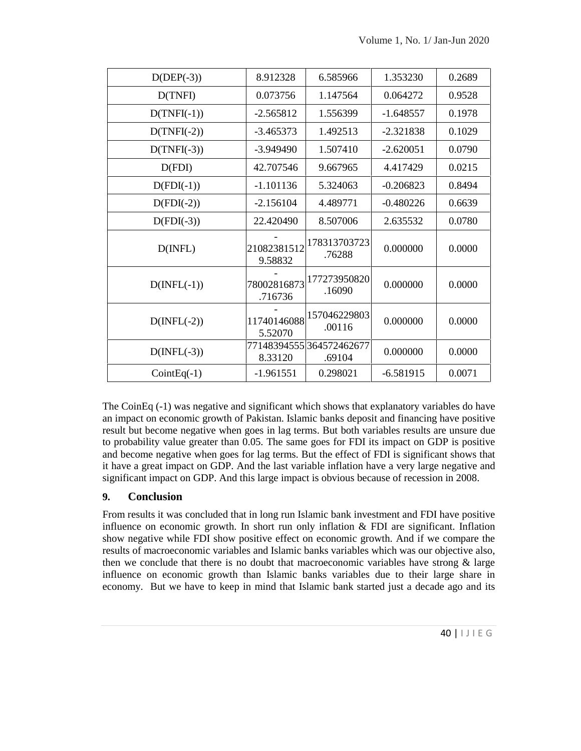| $D(DEF(-3))$         | 8.912328               | 6.585966               | 1.353230    | 0.2689 |
|----------------------|------------------------|------------------------|-------------|--------|
| D(TNFI)              | 0.073756               | 1.147564               | 0.064272    | 0.9528 |
| $D(TNFI(-1))$        | $-2.565812$            | 1.556399               | $-1.648557$ | 0.1978 |
| $D(TNFI(-2))$        | $-3.465373$            | 1.492513               | $-2.321838$ | 0.1029 |
| $D(TNFI(-3))$        | $-3.949490$            | 1.507410               | $-2.620051$ | 0.0790 |
| D(FDI)               | 42.707546              | 9.667965               | 4.417429    | 0.0215 |
| $D(FDI(-1))$         | $-1.101136$            | 5.324063               | $-0.206823$ | 0.8494 |
| $D(FDI(-2))$         | $-2.156104$            | 4.489771               | $-0.480226$ | 0.6639 |
| $D(FDI(-3))$         | 22.420490              | 8.507006               | 2.635532    | 0.0780 |
| $D(\text{INFL})$     | 21082381512<br>9.58832 | 178313703723<br>.76288 | 0.000000    | 0.0000 |
| $D(\text{INFL}(-1))$ | 78002816873<br>.716736 | 177273950820<br>.16090 | 0.000000    | 0.0000 |
| $D(\text{INFL}(-2))$ | 11740146088<br>5.52070 | 157046229803<br>.00116 | 0.000000    | 0.0000 |
| $D(\text{INFL}(-3))$ | 77148394555<br>8.33120 | 364572462677<br>.69104 | 0.000000    | 0.0000 |
| $CointEq(-1)$        | $-1.961551$            | 0.298021               | $-6.581915$ | 0.0071 |

The CoinEq (-1) was negative and significant which shows that explanatory variables do have an impact on economic growth of Pakistan. Islamic banks deposit and financing have positive result but become negative when goes in lag terms. But both variables results are unsure due to probability value greater than 0.05. The same goes for FDI its impact on GDP is positive and become negative when goes for lag terms. But the effect of FDI is significant shows that it have a great impact on GDP. And the last variable inflation have a very large negative and significant impact on GDP. And this large impact is obvious because of recession in 2008.

# **9. Conclusion**

rge share in<br>e ago and its<br>40 |  $| \cup | E \subseteq$ From results it was concluded that in long run Islamic bank investment and FDI have positive influence on economic growth. In short run only inflation & FDI are significant. Inflation show negative while FDI show positive effect on economic growth. And if we compare the results of macroeconomic variables and Islamic banks variables which was our objective also, then we conclude that there is no doubt that macroeconomic variables have strong  $\&$  large influence on economic growth than Islamic banks variables due to their large share in economy. But we have to keep in mind that Islamic bank started just a decade ago and its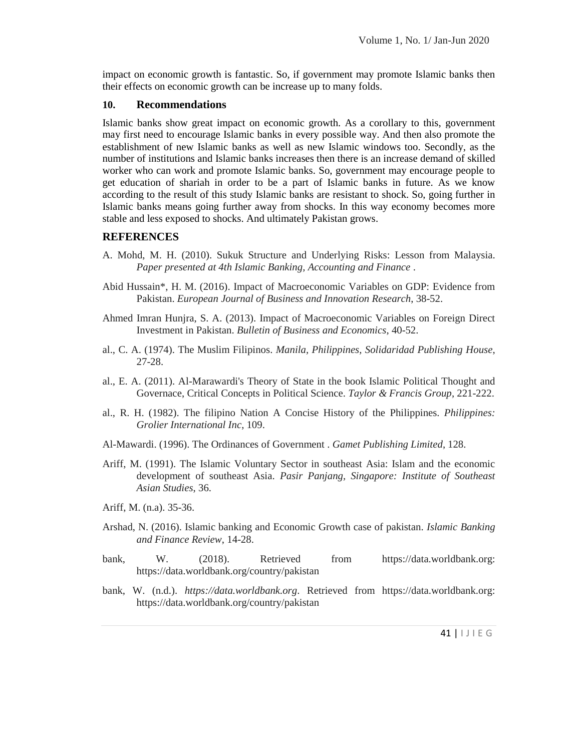impact on economic growth is fantastic. So, if government may promote Islamic banks then their effects on economic growth can be increase up to many folds.

#### **10. Recommendations**

Islamic banks show great impact on economic growth. As a corollary to this, government may first need to encourage Islamic banks in every possible way. And then also promote the establishment of new Islamic banks as well as new Islamic windows too. Secondly, as the number of institutions and Islamic banks increases then there is an increase demand of skilled worker who can work and promote Islamic banks. So, government may encourage people to get education of shariah in order to be a part of Islamic banks in future. As we know according to the result of this study Islamic banks are resistant to shock. So, going further in Islamic banks means going further away from shocks. In this way economy becomes more stable and less exposed to shocks. And ultimately Pakistan grows.

### **REFERENCES**

- A. Mohd, M. H. (2010). Sukuk Structure and Underlying Risks: Lesson from Malaysia. *Paper presented at 4th Islamic Banking, Accounting and Finance* .
- Abid Hussain\*, H. M. (2016). Impact of Macroeconomic Variables on GDP: Evidence from Pakistan. *European Journal of Business and Innovation Research*, 38-52.
- Ahmed Imran Hunjra, S. A. (2013). Impact of Macroeconomic Variables on Foreign Direct Investment in Pakistan. *Bulletin of Business and Economics*, 40-52.
- al., C. A. (1974). The Muslim Filipinos. *Manila, Philippines, Solidaridad Publishing House*, 27-28.
- al., E. A. (2011). Al-Marawardi's Theory of State in the book Islamic Political Thought and Governace, Critical Concepts in Political Science. *Taylor & Francis Group*, 221-222.
- al., R. H. (1982). The filipino Nation A Concise History of the Philippines. *Philippines: Grolier International Inc*, 109.
- Al-Mawardi. (1996). The Ordinances of Government . *Gamet Publishing Limited*, 128.
- Ariff, M. (1991). The Islamic Voluntary Sector in southeast Asia: Islam and the economic development of southeast Asia. *Pasir Panjang, Singapore: Institute of Southeast Asian Studies*, 36.
- Ariff, M. (n.a). 35-36.
- Arshad, N. (2016). Islamic banking and Economic Growth case of pakistan. *Islamic Banking and Finance Review*, 14-28.
- bank, W. (2018). Retrieved from https://data.worldbank.org: https://data.worldbank.org/country/pakistan
- $ordbank.org:$ <br>41 |  $J J E G$ bank, W. (n.d.). *https://data.worldbank.org*. Retrieved from https://data.worldbank.org: https://data.worldbank.org/country/pakistan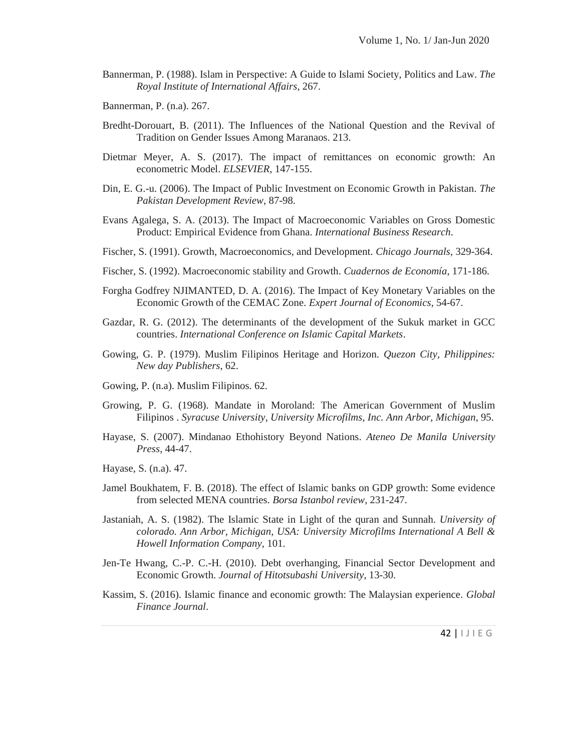Bannerman, P. (1988). Islam in Perspective: A Guide to Islami Society, Politics and Law. *The Royal Institute of International Affairs*, 267.

Bannerman, P. (n.a). 267.

- Bredht-Dorouart, B. (2011). The Influences of the National Question and the Revival of Tradition on Gender Issues Among Maranaos. 213.
- Dietmar Meyer, A. S. (2017). The impact of remittances on economic growth: An econometric Model. *ELSEVIER*, 147-155.
- Din, E. G.-u. (2006). The Impact of Public Investment on Economic Growth in Pakistan. *The Pakistan Development Review*, 87-98.
- Evans Agalega, S. A. (2013). The Impact of Macroeconomic Variables on Gross Domestic Product: Empirical Evidence from Ghana. *International Business Research*.
- Fischer, S. (1991). Growth, Macroeconomics, and Development. *Chicago Journals*, 329-364.
- Fischer, S. (1992). Macroeconomic stability and Growth. *Cuadernos de Economía*, 171-186.
- Forgha Godfrey NJIMANTED, D. A. (2016). The Impact of Key Monetary Variables on the Economic Growth of the CEMAC Zone. *Expert Journal of Economics*, 54-67.
- Gazdar, R. G. (2012). The determinants of the development of the Sukuk market in GCC countries. *International Conference on Islamic Capital Markets*.
- Gowing, G. P. (1979). Muslim Filipinos Heritage and Horizon. *Quezon City, Philippines: New day Publishers*, 62.
- Gowing, P. (n.a). Muslim Filipinos. 62.
- Growing, P. G. (1968). Mandate in Moroland: The American Government of Muslim Filipinos . *Syracuse University, University Microfilms, Inc. Ann Arbor, Michigan*, 95.
- Hayase, S. (2007). Mindanao Ethohistory Beyond Nations. *Ateneo De Manila University Press*, 44-47.
- Hayase, S. (n.a). 47.
- Jamel Boukhatem, F. B. (2018). The effect of Islamic banks on GDP growth: Some evidence from selected MENA countries. *Borsa Istanbol review*, 231-247.
- Jastaniah, A. S. (1982). The Islamic State in Light of the quran and Sunnah. *University of colorado. Ann Arbor, Michigan, USA: University Microfilms International A Bell & Howell Information Company*, 101.
- Jen-Te Hwang, C.-P. C.-H. (2010). Debt overhanging, Financial Sector Development and Economic Growth. *Journal of Hitotsubashi University*, 13-30.
- ence.  $Global$ <br>42 |  $\cup$  I E G Kassim, S. (2016). Islamic finance and economic growth: The Malaysian experience. *Global Finance Journal*.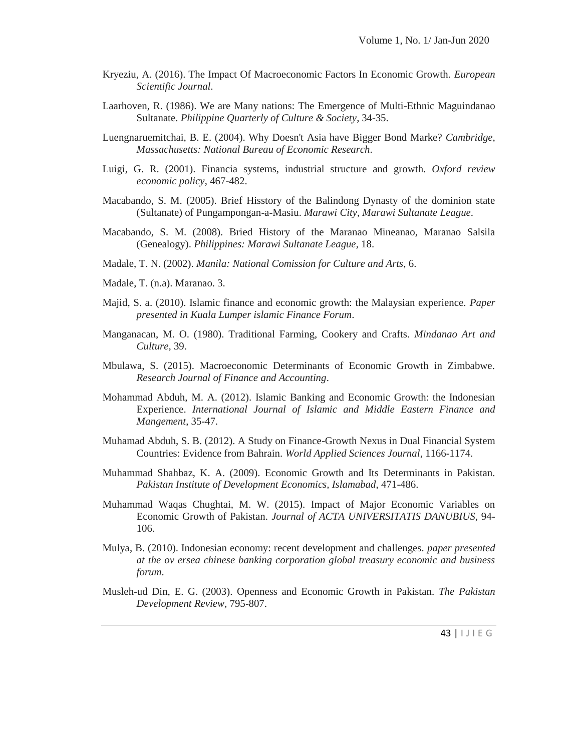- Kryeziu, A. (2016). The Impact Of Macroeconomic Factors In Economic Growth. *European Scientific Journal*.
- Laarhoven, R. (1986). We are Many nations: The Emergence of Multi-Ethnic Maguindanao Sultanate. *Philippine Quarterly of Culture & Society*, 34-35.
- Luengnaruemitchai, B. E. (2004). Why Doesn't Asia have Bigger Bond Marke? *Cambridge, Massachusetts: National Bureau of Economic Research*.
- Luigi, G. R. (2001). Financia systems, industrial structure and growth. *Oxford review economic policy*, 467-482.
- Macabando, S. M. (2005). Brief Hisstory of the Balindong Dynasty of the dominion state (Sultanate) of Pungampongan-a-Masiu. *Marawi City, Marawi Sultanate League*.
- Macabando, S. M. (2008). Bried History of the Maranao Mineanao, Maranao Salsila (Genealogy). *Philippines: Marawi Sultanate League*, 18.
- Madale, T. N. (2002). *Manila: National Comission for Culture and Arts*, 6.
- Madale, T. (n.a). Maranao. 3.
- Majid, S. a. (2010). Islamic finance and economic growth: the Malaysian experience. *Paper presented in Kuala Lumper islamic Finance Forum*.
- Manganacan, M. O. (1980). Traditional Farming, Cookery and Crafts. *Mindanao Art and Culture*, 39.
- Mbulawa, S. (2015). Macroeconomic Determinants of Economic Growth in Zimbabwe. *Research Journal of Finance and Accounting*.
- Mohammad Abduh, M. A. (2012). Islamic Banking and Economic Growth: the Indonesian Experience. *International Journal of Islamic and Middle Eastern Finance and Mangement*, 35-47.
- Muhamad Abduh, S. B. (2012). A Study on Finance-Growth Nexus in Dual Financial System Countries: Evidence from Bahrain. *World Applied Sciences Journal*, 1166-1174.
- Muhammad Shahbaz, K. A. (2009). Economic Growth and Its Determinants in Pakistan. *Pakistan Institute of Development Economics, Islamabad*, 471-486.
- Muhammad Waqas Chughtai, M. W. (2015). Impact of Major Economic Variables on Economic Growth of Pakistan. *Journal of ACTA UNIVERSITATIS DANUBIUS*, 94- 106.
- Mulya, B. (2010). Indonesian economy: recent development and challenges. *paper presented at the ov ersea chinese banking corporation global treasury economic and business forum*.
- The Pakistan<br>43 |  $\vert \ \vert$  J  $\vert \ \epsilon$  G Musleh-ud Din, E. G. (2003). Openness and Economic Growth in Pakistan. *The Pakistan Development Review*, 795-807.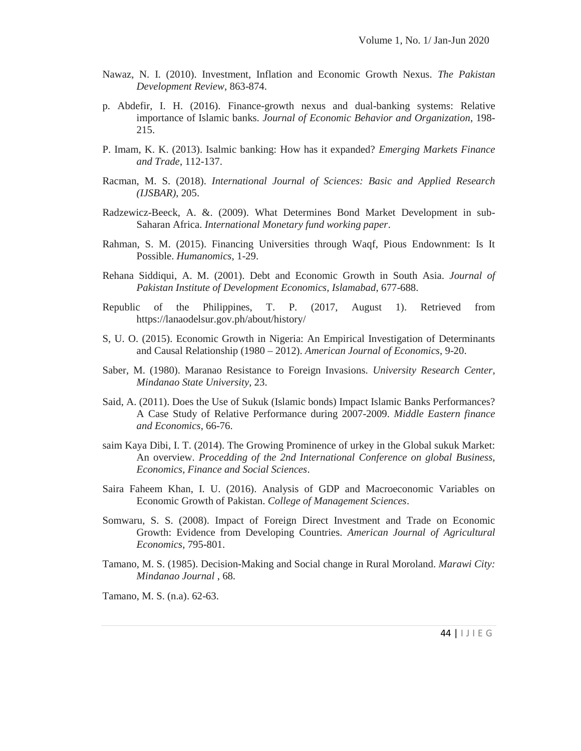- Nawaz, N. I. (2010). Investment, Inflation and Economic Growth Nexus. *The Pakistan Development Review*, 863-874.
- p. Abdefir, I. H. (2016). Finance-growth nexus and dual-banking systems: Relative importance of Islamic banks. *Journal of Economic Behavior and Organization*, 198- 215.
- P. Imam, K. K. (2013). Isalmic banking: How has it expanded? *Emerging Markets Finance and Trade*, 112-137.
- Racman, M. S. (2018). *International Journal of Sciences: Basic and Applied Research (IJSBAR)*, 205.
- Radzewicz-Beeck, A. &. (2009). What Determines Bond Market Development in sub- Saharan Africa. *International Monetary fund working paper*.
- Rahman, S. M. (2015). Financing Universities through Waqf, Pious Endownment: Is It Possible. *Humanomics*, 1-29.
- Rehana Siddiqui, A. M. (2001). Debt and Economic Growth in South Asia. *Journal of Pakistan Institute of Development Economics, Islamabad*, 677-688.
- Republic of the Philippines, T. P. (2017, August 1). Retrieved from https://lanaodelsur.gov.ph/about/history/
- S, U. O. (2015). Economic Growth in Nigeria: An Empirical Investigation of Determinants and Causal Relationship (1980 – 2012). *American Journal of Economics*, 9-20.
- Saber, M. (1980). Maranao Resistance to Foreign Invasions. *University Research Center, Mindanao State University*, 23.
- Said, A. (2011). Does the Use of Sukuk (Islamic bonds) Impact Islamic Banks Performances? A Case Study of Relative Performance during 2007-2009. *Middle Eastern finance and Economics*, 66-76.
- saim Kaya Dibi, I. T. (2014). The Growing Prominence of urkey in the Global sukuk Market: An overview. *Procedding of the 2nd International Conference on global Business, Economics, Finance and Social Sciences*.
- Saira Faheem Khan, I. U. (2016). Analysis of GDP and Macroeconomic Variables on Economic Growth of Pakistan. *College of Management Sciences*.
- Somwaru, S. S. (2008). Impact of Foreign Direct Investment and Trade on Economic Growth: Evidence from Developing Countries. *American Journal of Agricultural Economics*, 795-801.
- <sup>44</sup> <sup>|</sup> I J I E G Tamano, M. S. (1985). Decision-Making and Social change in Rural Moroland. *Marawi City: Mindanao Journal* , 68.

Tamano, M. S. (n.a). 62-63.